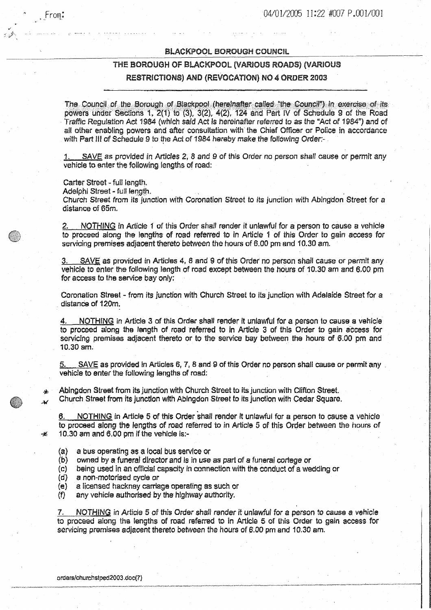# LACKPOOL BOROUGH COUNCIL

# THE BOROUGH OF BLACKPOOL (VARIOUS ROADS) (VARIOUS RESTRICTIONS) AND (REVOCATION) NO 4 ORDER 2003

The Council of the Borough of Blackpool (hereinafter called "the Council") in exercise of its powers under Sections 1,  $2(1)$  to  $(3)$ ,  $3(2)$ ,  $4(2)$ , 124 and Part IV of Schedule 9 of the Road Traffic Regulation Act 1984 (which said Act Is hereinafter referred to as the "Act of 1984") and of all other enabling powers and after consultation with the Chief Officer or Police in accordance with Part III of Schedule 9 to the Act of 1984 hereby make the following Order:-

SAVE as provided in Articles 2, 8 and 9 of this Order no person shall cause or permit any vehicle to enter the following lengths of road:

Carter Street - full length.

Adelphi Street - full length.

Church Street from its junction with Coronation Street to its junction with Abingdon Street for a distance of 65m.

NOTHING In Article 1 of this Order shall render it unlawful for a person to cause a vehicle to proceed along the lengths of road referred to in Article 1 of this Order to gain access for servicing premises adjacent thereto between the hours of 6.00 pm and 10.30 am.

3. SAVE as provided in Articles 4, 8 and 9 of this Order no person shall cause or permit any vehicle to enter the following length of road except between the hours of 10.30 am and 6,00 pm for access to the service bay only;

Coronation Street - from its junction with Church Street to its junction with Adelaide Street for a distance of 120m.

4. NOTHING in Article 3 of this Order shall render it unlawful for a person to cause a vehicle to proceed along the length of road referred to in Article 3 of this Order to gain access for servicing premises adjacent thereto or to the service bay between the hours of 6.00 pm and 1130 am.

fb , SAVE as provided in Articles 6, 7, 8 and 9 of this Order no person shall cause or permit any vehicle to enter the following lengths of road:

Abingdon Street from its junction with Church street to its junction with Clifton Street Church Street from its junction with Abingdon Street to its junction with Cedar Square.

6. NOTHING in Article 5 of this Order shall render It unlawful for a person to cause a vehicle to proceed along the lengths of road referred to in Article 5 of this Order between the hours of 10.30 am and 6.00 pm if the vehicle is :-

- (a) a bus operating as a local bus service or  $(b)$  owned by a funeral director and is in use
- (b) owned by a funeral director and is in use as part of a funeral cortege or (c) being used in an official capacity in connection with the conduct of a we
- (c) being used in an official capacity in connection with the conduct of a wedding or (d) a non-motorised cycle or
- (d) a non-motorised cycle or<br>(e) a licensed hackney carria

 $\overline{\mathcal{X}}$ 

-y

- (e) a licensed hackney carriage operating as such or
- any vehicle authorised by the highway authority.

7. NOTHING in Article 5 of this Order shall render it unlawful for a person to cause a vehicle to proceed along the lengths of road referred to in Article 5 of this Order to gain access for servicing premises adjacent thereto between the hours of 6.00 pm and 10.30 am.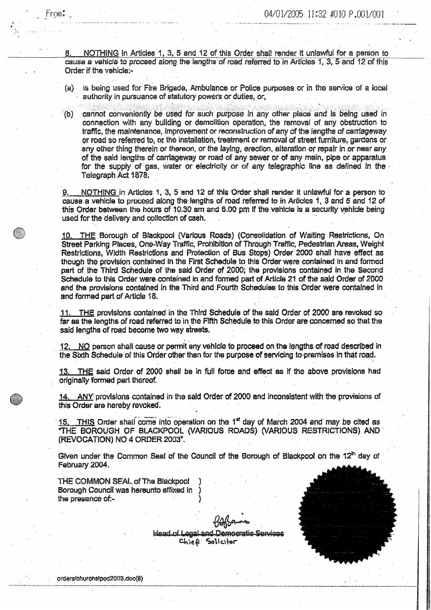NOTHING In Articles 1, 3, 5 and 12 of this Order shall render it unlawful for a person to cause a vehicle to proceed along the lengths of road referred to in Articles 1, 3,5-and 12 of this Order if the vehicle:

(a) is being used for Fire Brigade, Ambulance or Police purposes or in the service of a local authority in pursuance of statutory powers or duties, or,

(b) cannot conveniently be used for such purpose in any other place and is being used in connection with any building or demolition operation, the removal of any obstruction to traffic, the maintenance, improvement or reconstruction of any of the lengths of carriageway or road so referred to, or the Installation, treatment or removal of street furniture, gardens or any other thing therein or thereon, or the laying, erection, alteration or repair in or near any of the said lengths of Carriageway or road of any sewer or of any main, pipe or apparatus for the supply of gas, water or electricity or of any telegraphic line as defined in the Telegraph Act 1878.

9. NOTHING in Articles 1, 3, 5 and 12 of this Order shall render it unlawful for a person to cause a vehicle to proceed along the lengths of road referred to in Articles 1, 3 and 5 and 12 of this Order between the hours of 10.30 am and 6.00 pm If the vehicle is a security vehicle being used for the delivery and collection of cash .

THE Borough of Blackpool (Various Roads) (Conaolidation . of Waiting Restrictions, On Street Parking Places, One-Way Traffic, Prohibition of Through Traffic, Pedestrian Areas, Weight Restrictions, Width Restrictions and Protection of Bus Stops) Order 2000 shall have effect as though the provision contained In the First Schedule to this Order were contained in and formed part of the Third Schedule of the said Order of 2000; the provisions contained in the Second Schedule to this Order were contained in and formed part of Article 21 of the said Order of 2000 and the provisions contained In the Third and Fourth Schedules to this Order were contained in and formed part of Article 18.

THE provisions contained in the Third Schedule of the said Order of 2000 are revoked so far as the lengths of road referred to in the Fifth Schedule to this Order are concerned so that the said lengths of road become two way streets.

12. NO person shall cause or permit any vehicle to proceed on the lengths of road described in the Sixth Schedule of this Order other than for the purpose of servicing to premises In that road.

13. THE said Order of 2000 shall be in full force and effect as if the above provisions had originally formed part thereof:

14. ANY provisions contained in the said Order of 2000 and inconsistent with the provisions of this Order are hereby revoked.

15, THIS Order shall come into operation on the 1<sup>st</sup> day of March 2004 and may be cited as "THE BOROUGH OF BLACKPOOL (VARIOUS ROADS) (VARIOUS RESTRICTIONS) AND (REVOCATION) NO 4 ORDER 2003'.

Given under the Common Seal of the Council of the Borough of Blackpool on the 12<sup>th</sup> day of February 2004.

THE COMMON SEAL of The Blackpool Borough Council was hereunto affixed In ) the presence of:-

> Head of LegaLand Democratic Services Chiep Solicitor